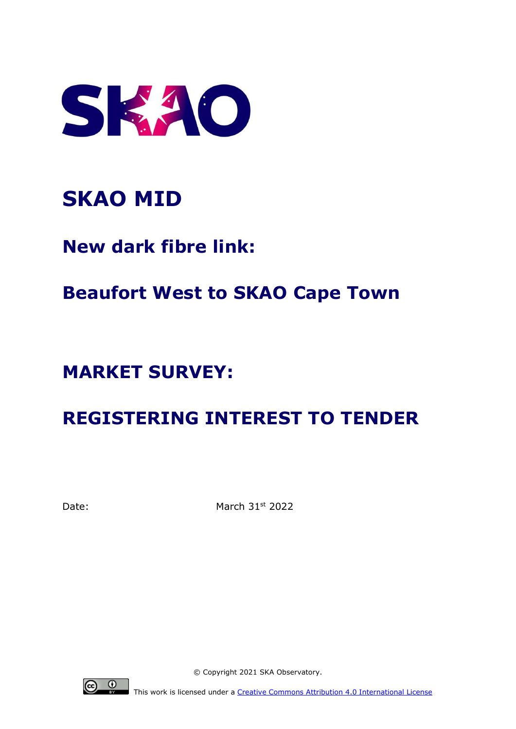

# **SKAO MID**

**New dark fibre link:**

## **Beaufort West to SKAO Cape Town**

## **MARKET SURVEY:**

## **REGISTERING INTEREST TO TENDER**

Date: March 31st 2022



© Copyright 2021 SKA Observatory.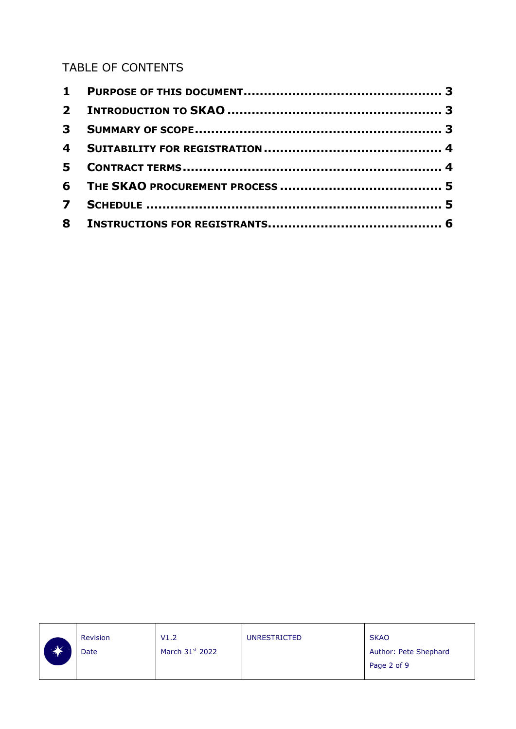#### TABLE OF CONTENTS

|              | <b>Revision</b> | V1.2              | <b>UNRESTRICTED</b> | <b>SKAO</b>           |
|--------------|-----------------|-------------------|---------------------|-----------------------|
| $\mathbf{v}$ | Date            | March $31st$ 2022 |                     | Author: Pete Shephard |
|              |                 |                   |                     | Page 2 of 9           |
|              |                 |                   |                     |                       |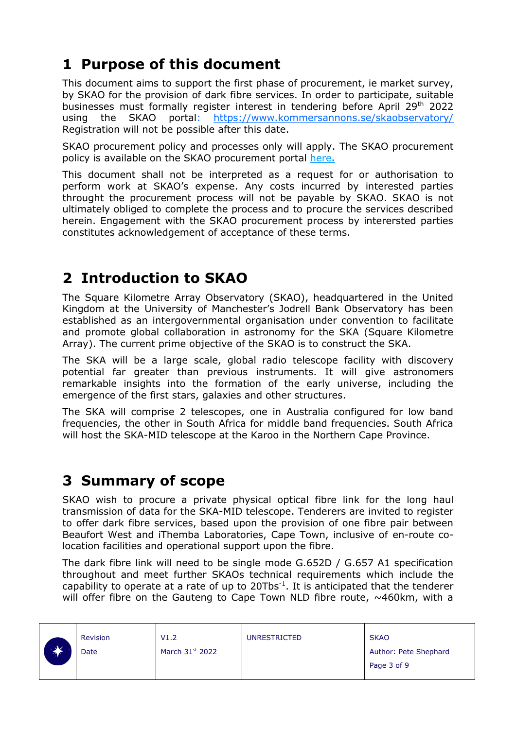## <span id="page-2-0"></span>**1 Purpose of this document**

This document aims to support the first phase of procurement, ie market survey, by SKAO for the provision of dark fibre services. In order to participate, suitable businesses must formally register interest in tendering before April 29<sup>th</sup> 2022 using the SKAO portal: <https://www.kommersannons.se/skaobservatory/> Registration will not be possible after this date.

SKAO procurement policy and processes only will apply. The SKAO procurement policy is available on the SKAO procurement portal [here](https://www.skatelescope.org/procurement/)**.**

This document shall not be interpreted as a request for or authorisation to perform work at SKAO's expense. Any costs incurred by interested parties throught the procurement process will not be payable by SKAO. SKAO is not ultimately obliged to complete the process and to procure the services described herein. Engagement with the SKAO procurement process by interersted parties constitutes acknowledgement of acceptance of these terms.

## <span id="page-2-1"></span>**2 Introduction to SKAO**

The Square Kilometre Array Observatory (SKAO), headquartered in the United Kingdom at the University of Manchester's Jodrell Bank Observatory has been established as an intergovernmental organisation under convention to facilitate and promote global collaboration in astronomy for the SKA (Square Kilometre Array). The current prime objective of the SKAO is to construct the SKA.

The SKA will be a large scale, global radio telescope facility with discovery potential far greater than previous instruments. It will give astronomers remarkable insights into the formation of the early universe, including the emergence of the first stars, galaxies and other structures.

The SKA will comprise 2 telescopes, one in Australia configured for low band frequencies, the other in South Africa for middle band frequencies. South Africa will host the SKA-MID telescope at the Karoo in the Northern Cape Province.

#### <span id="page-2-2"></span>**3 Summary of scope**

SKAO wish to procure a private physical optical fibre link for the long haul transmission of data for the SKA-MID telescope. Tenderers are invited to register to offer dark fibre services, based upon the provision of one fibre pair between Beaufort West and iThemba Laboratories, Cape Town, inclusive of en-route colocation facilities and operational support upon the fibre.

The dark fibre link will need to be single mode G.652D / G.657 A1 specification throughout and meet further SKAOs technical requirements which include the capability to operate at a rate of up to  $20Tbs^{-1}$ . It is anticipated that the tenderer will offer fibre on the Gauteng to Cape Town NLD fibre route,  $\sim$ 460km, with a

| $\mathcal{A}$ | <b>Revision</b> | V1.2                        | <b>UNRESTRICTED</b> | <b>SKAO</b>           |
|---------------|-----------------|-----------------------------|---------------------|-----------------------|
|               | Date            | March 31 <sup>st</sup> 2022 |                     | Author: Pete Shephard |
|               |                 |                             |                     | Page 3 of 9           |
|               |                 |                             |                     |                       |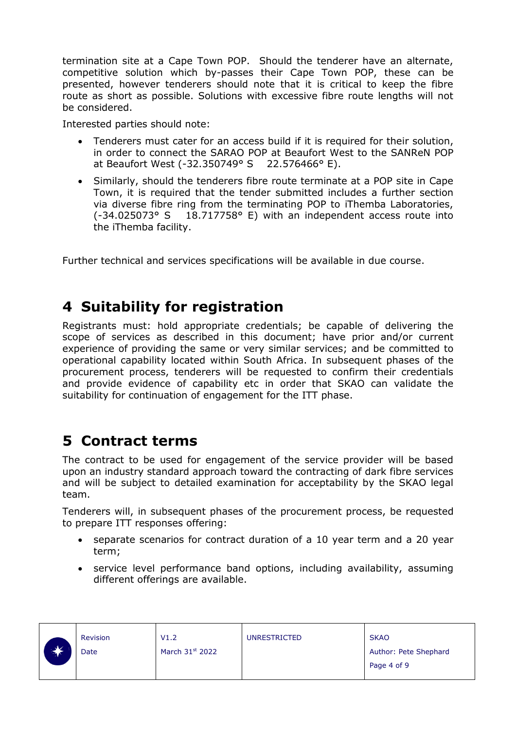termination site at a Cape Town POP. Should the tenderer have an alternate, competitive solution which by-passes their Cape Town POP, these can be presented, however tenderers should note that it is critical to keep the fibre route as short as possible. Solutions with excessive fibre route lengths will not be considered.

Interested parties should note:

- Tenderers must cater for an access build if it is required for their solution, in order to connect the SARAO POP at Beaufort West to the SANReN POP at Beaufort West (-32.350749° S 22.576466° E).
- Similarly, should the tenderers fibre route terminate at a POP site in Cape Town, it is required that the tender submitted includes a further section via diverse fibre ring from the terminating POP to iThemba Laboratories, (-34.025073° S 18.717758° E) with an independent access route into the iThemba facility.

<span id="page-3-0"></span>Further technical and services specifications will be available in due course.

### **4 Suitability for registration**

Registrants must: hold appropriate credentials; be capable of delivering the scope of services as described in this document; have prior and/or current experience of providing the same or very similar services; and be committed to operational capability located within South Africa. In subsequent phases of the procurement process, tenderers will be requested to confirm their credentials and provide evidence of capability etc in order that SKAO can validate the suitability for continuation of engagement for the ITT phase.

### <span id="page-3-1"></span>**5 Contract terms**

The contract to be used for engagement of the service provider will be based upon an industry standard approach toward the contracting of dark fibre services and will be subject to detailed examination for acceptability by the SKAO legal team.

Tenderers will, in subsequent phases of the procurement process, be requested to prepare ITT responses offering:

- separate scenarios for contract duration of a 10 year term and a 20 year term;
- service level performance band options, including availability, assuming different offerings are available.

|                       | Revision | V1.2              | <b>UNRESTRICTED</b> | <b>SKAO</b>           |
|-----------------------|----------|-------------------|---------------------|-----------------------|
| <u>براتو .</u><br>™ ⊼ | Date     | March $31st$ 2022 |                     | Author: Pete Shephard |
|                       |          |                   |                     | Page 4 of 9           |
|                       |          |                   |                     |                       |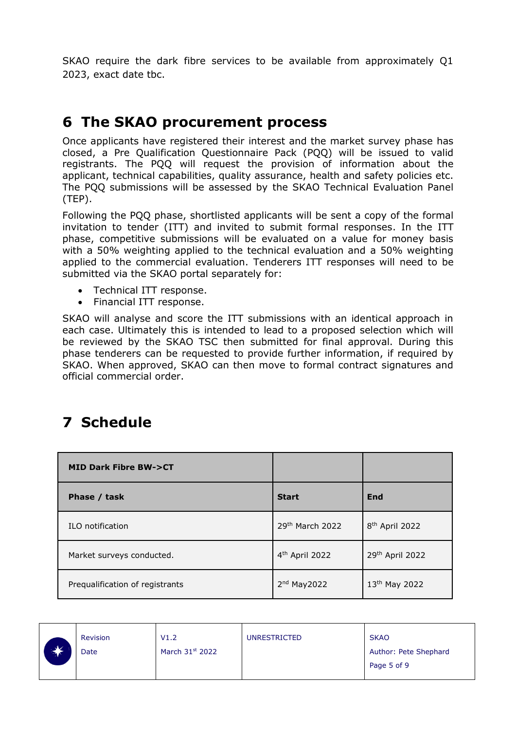SKAO require the dark fibre services to be available from approximately Q1 2023, exact date tbc.

### <span id="page-4-0"></span>**6 The SKAO procurement process**

Once applicants have registered their interest and the market survey phase has closed, a Pre Qualification Questionnaire Pack (PQQ) will be issued to valid registrants. The PQQ will request the provision of information about the applicant, technical capabilities, quality assurance, health and safety policies etc. The PQQ submissions will be assessed by the SKAO Technical Evaluation Panel (TEP).

Following the PQQ phase, shortlisted applicants will be sent a copy of the formal invitation to tender (ITT) and invited to submit formal responses. In the ITT phase, competitive submissions will be evaluated on a value for money basis with a 50% weighting applied to the technical evaluation and a 50% weighting applied to the commercial evaluation. Tenderers ITT responses will need to be submitted via the SKAO portal separately for:

- Technical ITT response.
- Financial ITT response.

SKAO will analyse and score the ITT submissions with an identical approach in each case. Ultimately this is intended to lead to a proposed selection which will be reviewed by the SKAO TSC then submitted for final approval. During this phase tenderers can be requested to provide further information, if required by SKAO. When approved, SKAO can then move to formal contract signatures and official commercial order.

#### <span id="page-4-1"></span>**7 Schedule**

| <b>MID Dark Fibre BW-&gt;CT</b> |                            |                            |
|---------------------------------|----------------------------|----------------------------|
| Phase / task                    | <b>Start</b>               | End                        |
| ILO notification                | 29th March 2022            | 8 <sup>th</sup> April 2022 |
| Market surveys conducted.       | 4 <sup>th</sup> April 2022 | 29th April 2022            |
| Prequalification of registrants | $2nd$ May 2022             | 13 <sup>th</sup> May 2022  |

|   | <b>Revision</b> | V1.2                        | <b>UNRESTRICTED</b> | <b>SKAO</b>           |
|---|-----------------|-----------------------------|---------------------|-----------------------|
| ☀ | Date            | March 31 <sup>st</sup> 2022 |                     | Author: Pete Shephard |
|   |                 |                             |                     | Page 5 of 9           |
|   |                 |                             |                     |                       |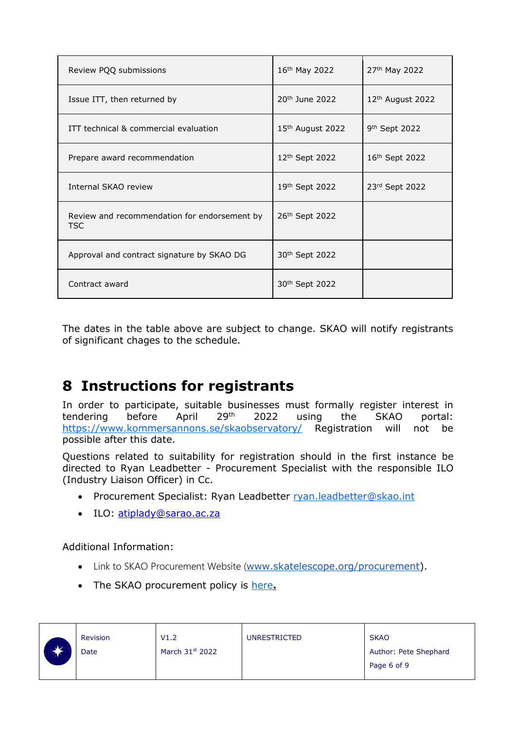| Review PQQ submissions                               | 16th May 2022                | 27th May 2022                |
|------------------------------------------------------|------------------------------|------------------------------|
| Issue ITT, then returned by                          | $20th$ June 2022             | 12 <sup>th</sup> August 2022 |
| ITT technical & commercial evaluation                | 15 <sup>th</sup> August 2022 | 9 <sup>th</sup> Sept 2022    |
| Prepare award recommendation                         | 12 <sup>th</sup> Sept 2022   | 16th Sept 2022               |
| Internal SKAO review                                 | 19th Sept 2022               | 23rd Sept 2022               |
| Review and recommendation for endorsement by<br>TSC. | 26th Sept 2022               |                              |
| Approval and contract signature by SKAO DG           | 30 <sup>th</sup> Sept 2022   |                              |
| Contract award                                       | 30 <sup>th</sup> Sept 2022   |                              |

The dates in the table above are subject to change. SKAO will notify registrants of significant chages to the schedule.

### <span id="page-5-0"></span>**8 Instructions for registrants**

In order to participate, suitable businesses must formally register interest in tendering before April 29th 2022 using the SKAO portal: <https://www.kommersannons.se/skaobservatory/> Registration will not be possible after this date.

Questions related to suitability for registration should in the first instance be directed to Ryan Leadbetter - Procurement Specialist with the responsible ILO (Industry Liaison Officer) in Cc.

- Procurement Specialist: Ryan Leadbetter [ryan.leadbetter@skao.int](mailto:ryan.leadbetter@skao.int)
- ILO: [atiplady@sarao.ac.za](mailto:atiplady@sarao.ac.za)

Additional Information:

- Link to SKAO Procurement Website ([www.skatelescope.org/procurement\)](http://www.skatelescope.org/procurement).
- The SKAO procurement policy is [here](https://www.skatelescope.org/procurement/)**.**

|               | <b>Revision</b> | V1.2              | <b>UNRESTRICTED</b> | <b>SKAO</b>           |
|---------------|-----------------|-------------------|---------------------|-----------------------|
| $\mathcal{N}$ | Date            | March $31st$ 2022 |                     | Author: Pete Shephard |
|               |                 |                   |                     | Page 6 of 9           |
|               |                 |                   |                     |                       |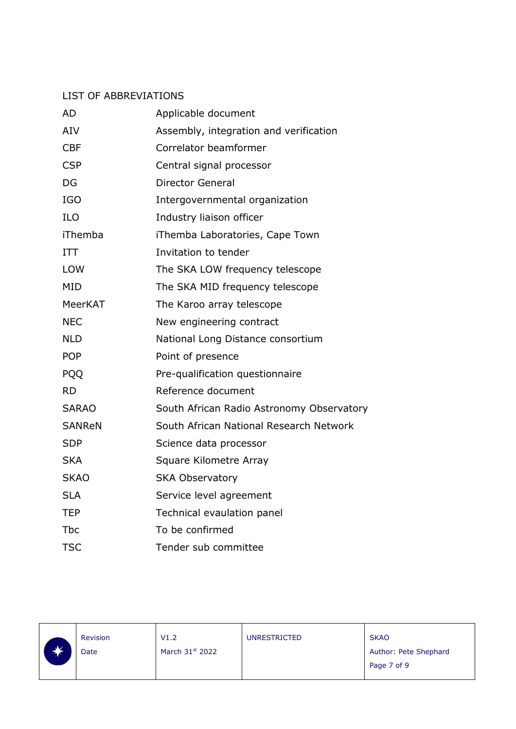#### LIST OF ABBREVIATIONS

| <b>AD</b>     | Applicable document                       |
|---------------|-------------------------------------------|
| <b>AIV</b>    | Assembly, integration and verification    |
| <b>CBF</b>    | Correlator beamformer                     |
| <b>CSP</b>    | Central signal processor                  |
| DG            | <b>Director General</b>                   |
| <b>IGO</b>    | Intergovernmental organization            |
| <b>ILO</b>    | Industry liaison officer                  |
| iThemba       | iThemba Laboratories, Cape Town           |
| <b>ITT</b>    | Invitation to tender                      |
| <b>LOW</b>    | The SKA LOW frequency telescope           |
| <b>MID</b>    | The SKA MID frequency telescope           |
| MeerKAT       | The Karoo array telescope                 |
| <b>NEC</b>    | New engineering contract                  |
| <b>NLD</b>    | National Long Distance consortium         |
| <b>POP</b>    | Point of presence                         |
| <b>PQQ</b>    | Pre-qualification questionnaire           |
| <b>RD</b>     | Reference document                        |
| <b>SARAO</b>  | South African Radio Astronomy Observatory |
| <b>SANReN</b> | South African National Research Network   |
| <b>SDP</b>    | Science data processor                    |
| <b>SKA</b>    | Square Kilometre Array                    |
| <b>SKAO</b>   | <b>SKA Observatory</b>                    |
| <b>SLA</b>    | Service level agreement                   |
| <b>TEP</b>    | Technical evaulation panel                |
| <b>Tbc</b>    | To be confirmed                           |
| <b>TSC</b>    | Tender sub committee                      |

| $\sim$ Mz    | <b>Revision</b> | V1.2                        | <b>UNRESTRICTED</b> | <b>SKAO</b>           |
|--------------|-----------------|-----------------------------|---------------------|-----------------------|
| $\mathbf{v}$ | Date            | March 31 <sup>st</sup> 2022 |                     | Author: Pete Shephard |
|              |                 |                             |                     | Page 7 of 9           |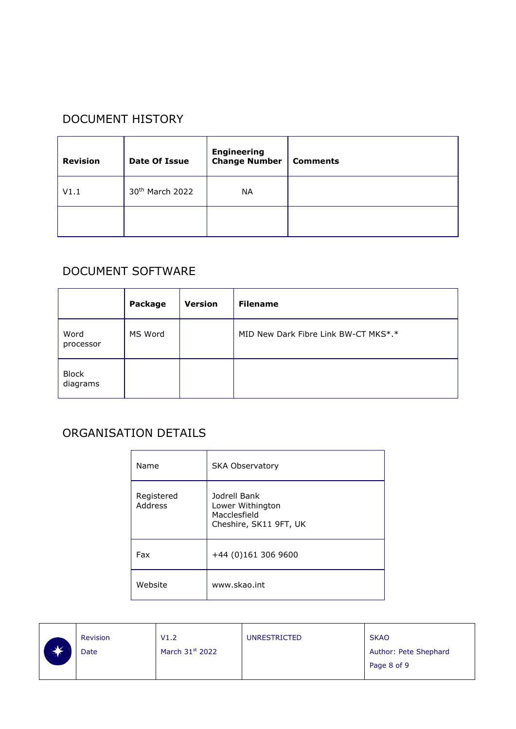#### DOCUMENT HISTORY

| <b>Revision</b> | Date Of Issue               | <b>Engineering</b><br><b>Change Number</b> | <b>Comments</b> |
|-----------------|-----------------------------|--------------------------------------------|-----------------|
| V1.1            | 30 <sup>th</sup> March 2022 | <b>NA</b>                                  |                 |
|                 |                             |                                            |                 |

#### DOCUMENT SOFTWARE

|                          | Package | <b>Version</b> | <b>Filename</b>                      |
|--------------------------|---------|----------------|--------------------------------------|
| Word<br>processor        | MS Word |                | MID New Dark Fibre Link BW-CT MKS*.* |
| <b>Block</b><br>diagrams |         |                |                                      |

#### ORGANISATION DETAILS

| Name                         | <b>SKA Observatory</b>                                                     |  |  |
|------------------------------|----------------------------------------------------------------------------|--|--|
| Registered<br><b>Address</b> | Jodrell Bank<br>Lower Withington<br>Macclesfield<br>Cheshire, SK11 9FT, UK |  |  |
| Fax                          | +44 (0)161 306 9600                                                        |  |  |
| Website                      | www.skao.int                                                               |  |  |

|                              | <b>Revision</b> | V1.2                        | <b>UNRESTRICTED</b> | <b>SKAO</b>           |
|------------------------------|-----------------|-----------------------------|---------------------|-----------------------|
| $\mathcal{A}$<br><b>TANK</b> | Date            | March 31 <sup>st</sup> 2022 |                     | Author: Pete Shephard |
|                              |                 |                             |                     | Page 8 of 9           |
|                              |                 |                             |                     |                       |